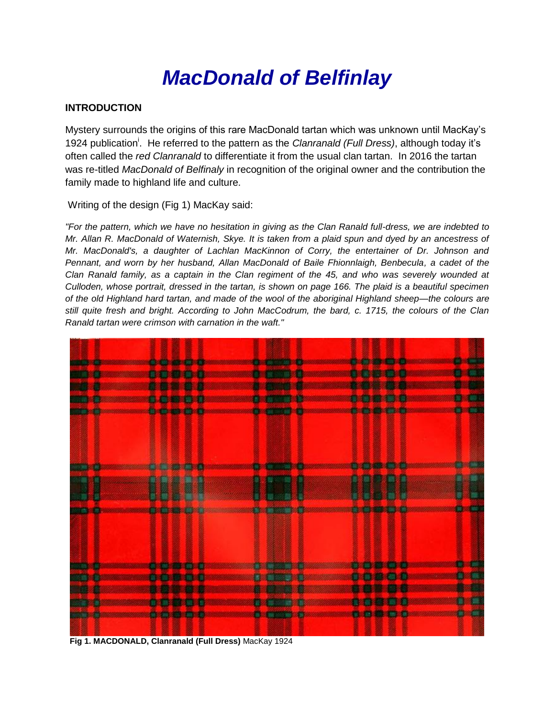# *MacDonald of Belfinlay*

# **INTRODUCTION**

Mystery surrounds the origins of this rare MacDonald tartan which was unknown until MacKay's 1924 publication<sup>i</sup>. He referred to the pattern as the *Clanranald (Full Dress)*, although today it's often called the *red Clanranald* to differentiate it from the usual clan tartan. In 2016 the tartan was re-titled *MacDonald of Belfinaly* in recognition of the original owner and the contribution the family made to highland life and culture.

Writing of the design (Fig 1) MacKay said:

*"For the pattern, which we have no hesitation in giving as the Clan Ranald full-dress, we are indebted to Mr. Allan R. MacDonald of Waternish, Skye. It is taken from a plaid spun and dyed by an ancestress of Mr. MacDonald's, a daughter of Lachlan MacKinnon of Corry, the entertainer of Dr. Johnson and Pennant, and worn by her husband, Allan MacDonald of Baile Fhionnlaigh, Benbecula, a cadet of the Clan Ranald family, as a captain in the Clan regiment of the 45, and who was severely wounded at Culloden, whose portrait, dressed in the tartan, is shown on page 166. The plaid is a beautiful specimen of the old Highland hard tartan, and made of the wool of the aboriginal Highland sheep—the colours are still quite fresh and bright. According to John MacCodrum, the bard, c. 1715, the colours of the Clan Ranald tartan were crimson with carnation in the waft."*



 **Fig 1. MACDONALD, Clanranald (Full Dress)** MacKay 1924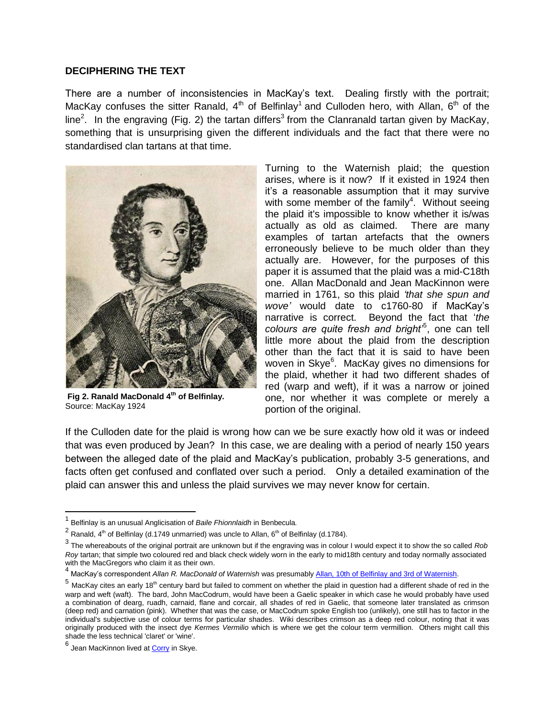#### **DECIPHERING THE TEXT**

There are a number of inconsistencies in MacKay's text. Dealing firstly with the portrait; MacKay confuses the sitter Ranald,  $4<sup>th</sup>$  of Belfinlay<sup>1</sup> and Culloden hero, with Allan, 6<sup>th</sup> of the line<sup>2</sup>. In the engraving (Fig. 2) the tartan differs<sup>3</sup> from the Clanranald tartan given by MacKay, something that is unsurprising given the different individuals and the fact that there were no standardised clan tartans at that time.



**Fig 2. Ranald MacDonald 4th of Belfinlay.**  Source: MacKay 1924

Turning to the Waternish plaid; the question arises, where is it now? If it existed in 1924 then it's a reasonable assumption that it may survive with some member of the family<sup>4</sup>. Without seeing the plaid it's impossible to know whether it is/was actually as old as claimed. There are many examples of tartan artefacts that the owners erroneously believe to be much older than they actually are. However, for the purposes of this paper it is assumed that the plaid was a mid-C18th one. Allan MacDonald and Jean MacKinnon were married in 1761, so this plaid *'that she spun and wove'* would date to c1760-80 if MacKay's narrative is correct. Beyond the fact that '*the colours are quite fresh and bright'*<sup>5</sup> , one can tell little more about the plaid from the description other than the fact that it is said to have been woven in Skye<sup>6</sup>. MacKay gives no dimensions for the plaid, whether it had two different shades of red (warp and weft), if it was a narrow or joined one, nor whether it was complete or merely a portion of the original.

If the Culloden date for the plaid is wrong how can we be sure exactly how old it was or indeed that was even produced by Jean? In this case, we are dealing with a period of nearly 150 years between the alleged date of the plaid and MacKay's publication, probably 3-5 generations, and facts often get confused and conflated over such a period. Only a detailed examination of the plaid can answer this and unless the plaid survives we may never know for certain.

<sup>1</sup> Belfinlay is an unusual Anglicisation of *Baile Fhionnlaidh* in Benbecula*.*

<sup>&</sup>lt;sup>2</sup> Ranald, 4<sup>th</sup> of Belfinlay (d.1749 unmarried) was uncle to Allan, 6<sup>th</sup> of Belfinlay (d.1784).

<sup>3</sup> The whereabouts of the original portrait are unknown but if the engraving was in colour I would expect it to show the so called *Rob Roy* tartan; that simple two coloured red and black check widely worn in the early to mid18th century and today normally associated with the MacGregors who claim it as their own.

<sup>4</sup> MacKay's correspondent *Allan R. MacDonald of Waternish* was presumabl[y Allan, 10th of Belfinlay and 3rd of Waternish.](http://www.thepeerage.com/p50343.htm#i503421)

<sup>&</sup>lt;sup>5</sup> MacKay cites an early 18<sup>th</sup> century bard but failed to comment on whether the plaid in question had a different shade of red in the warp and weft (waft). The bard, John MacCodrum, would have been a Gaelic speaker in which case he would probably have used a combination of dearg, ruadh, carnaid, flane and corcair, all shades of red in Gaelic, that someone later translated as crimson (deep red) and carnation (pink). Whether that was the case, or MacCodrum spoke English too (unlikely), one still has to factor in the individual's subjective use of colour terms for particular shades. Wiki describes crimson as a deep red colour, noting that it was originally produced with the insect dye *Kermes Vermilio* which is where we get the colour term vermillion. Others might call this shade the less technical 'claret' or 'wine'.

<sup>&</sup>lt;sup>6</sup> Jean MacKinnon lived at <u>Corry</u> in Skye.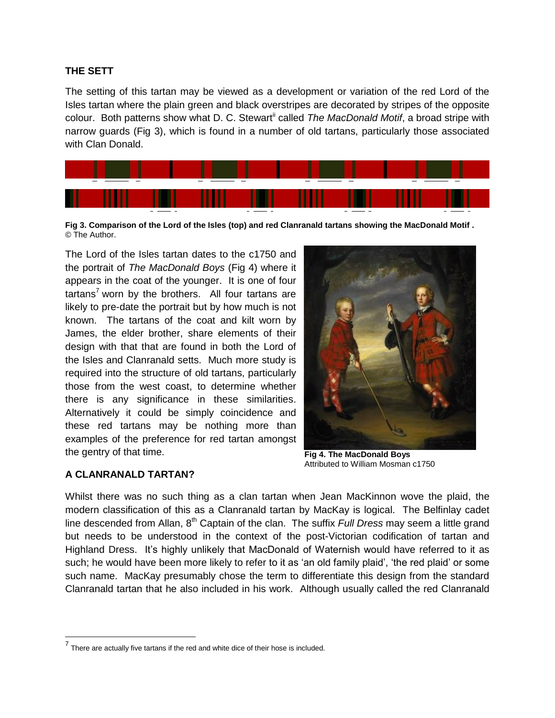#### **THE SETT**

The setting of this tartan may be viewed as a development or variation of the red Lord of the Isles tartan where the plain green and black overstripes are decorated by stripes of the opposite colour. Both patterns show what D. C. Stewart<sup>"</sup> called *The MacDonald Motif*, a broad stripe with narrow guards (Fig 3), which is found in a number of old tartans, particularly those associated with Clan Donald.



**Fig 3. Comparison of the Lord of the Isles (top) and red Clanranald tartans showing the MacDonald Motif .** © The Author.

The Lord of the Isles tartan dates to the c1750 and the portrait of *The MacDonald Boys* (Fig 4) where it appears in the coat of the younger. It is one of four  $t$ artans<sup>7</sup> worn by the brothers. All four tartans are likely to pre-date the portrait but by how much is not known. The tartans of the coat and kilt worn by James, the elder brother, share elements of their design with that that are found in both the Lord of the Isles and Clanranald setts. Much more study is required into the structure of old tartans, particularly those from the west coast, to determine whether there is any significance in these similarities. Alternatively it could be simply coincidence and these red tartans may be nothing more than examples of the preference for red tartan amongst the gentry of that time.



**Fig 4. The MacDonald Boys**  Attributed to William Mosman c1750

## **A CLANRANALD TARTAN?**

Whilst there was no such thing as a clan tartan when Jean MacKinnon wove the plaid, the modern classification of this as a Clanranald tartan by MacKay is logical. The Belfinlay cadet line descended from Allan, 8<sup>th</sup> Captain of the clan. The suffix *Full Dress* may seem a little grand but needs to be understood in the context of the post-Victorian codification of tartan and Highland Dress. It's highly unlikely that MacDonald of Waternish would have referred to it as such; he would have been more likely to refer to it as 'an old family plaid', 'the red plaid' or some such name. MacKay presumably chose the term to differentiate this design from the standard Clanranald tartan that he also included in his work. Although usually called the red Clanranald

 $<sup>7</sup>$  There are actually five tartans if the red and white dice of their hose is included.</sup>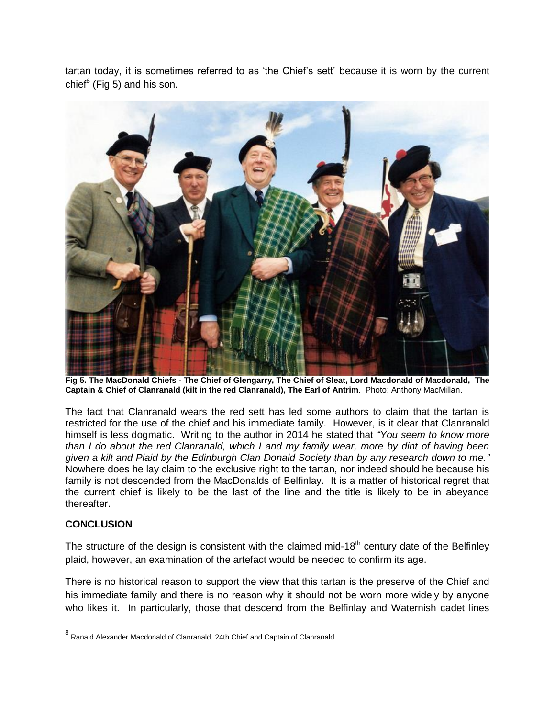tartan today, it is sometimes referred to as 'the Chief's sett' because it is worn by the current chief<sup>8</sup> (Fig 5) and his son.



**Fig 5. The MacDonald Chiefs - The Chief of Glengarry, The Chief of Sleat, Lord Macdonald of Macdonald, The Captain & Chief of Clanranald (kilt in the red Clanranald), The Earl of Antrim**. Photo: Anthony MacMillan.

The fact that Clanranald wears the red sett has led some authors to claim that the tartan is restricted for the use of the chief and his immediate family. However, is it clear that Clanranald himself is less dogmatic. Writing to the author in 2014 he stated that *"You seem to know more than I do about the red Clanranald, which I and my family wear, more by dint of having been given a kilt and Plaid by the Edinburgh Clan Donald Society than by any research down to me."* Nowhere does he lay claim to the exclusive right to the tartan, nor indeed should he because his family is not descended from the MacDonalds of Belfinlay. It is a matter of historical regret that the current chief is likely to be the last of the line and the title is likely to be in abeyance thereafter.

## **CONCLUSION**

 $\overline{a}$ 

The structure of the design is consistent with the claimed mid-18<sup>th</sup> century date of the Belfinley plaid, however, an examination of the artefact would be needed to confirm its age.

There is no historical reason to support the view that this tartan is the preserve of the Chief and his immediate family and there is no reason why it should not be worn more widely by anyone who likes it. In particularly, those that descend from the Belfinlay and Waternish cadet lines

<sup>&</sup>lt;sup>8</sup> Ranald Alexander Macdonald of Clanranald, 24th Chief and Captain of Clanranald.